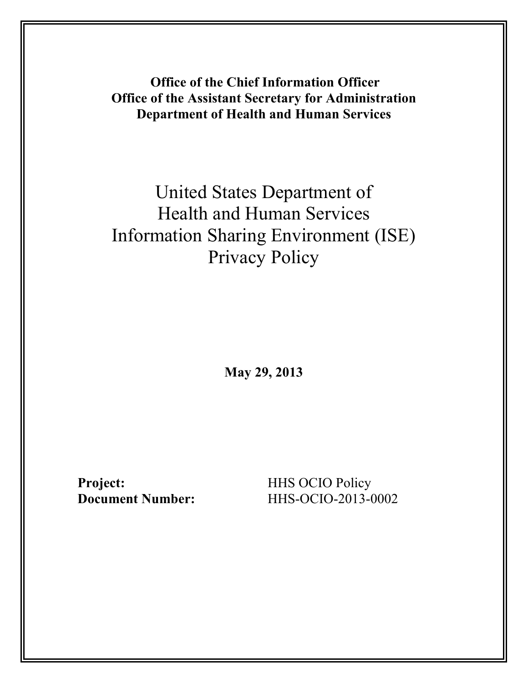**Office of the Chief Information Officer Office of the Assistant Secretary for Administration Department of Health and Human Services** 

# United States Department of Health and Human Services Information Sharing Environment (ISE) Privacy Policy

**May 29, 2013** 

**Project: HHS OCIO Policy**<br> **Document Number: HHS-OCIO-2013-0** 

**Document Number:** HHS-OCIO-2013-0002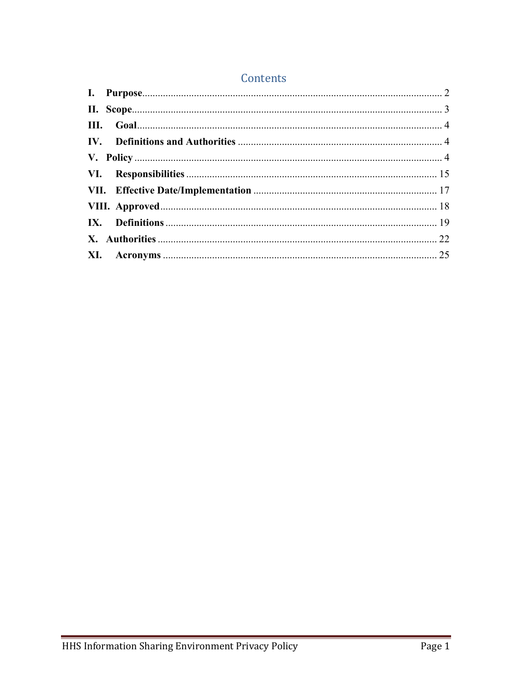### Contents

<span id="page-1-0"></span>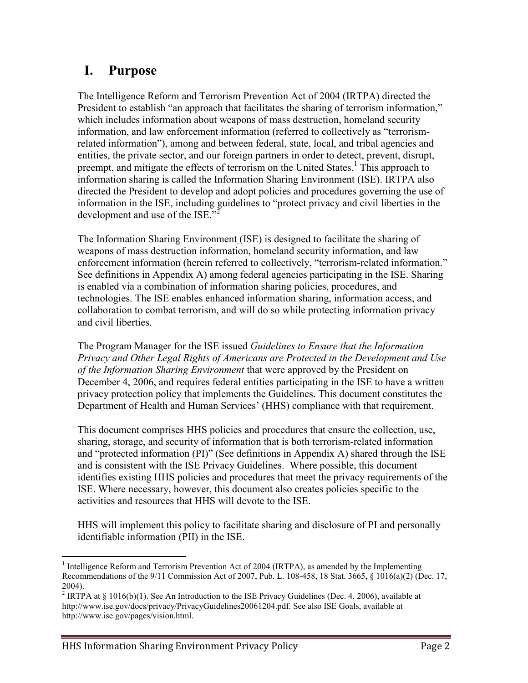## **I. Purpose**

The Intelligence Reform and Terrorism Prevention Act of 2004 (IRTPA) directed the President to establish "an approach that facilitates the sharing of terrorism information," which includes information about weapons of mass destruction, homeland security information, and law enforcement information (referred to collectively as "terrorismrelated information"), among and between federal, state, local, and tribal agencies and entities, the private sector, and our foreign partners in order to detect, prevent, disrupt, preempt, and mitigate the effects of terrorism on the United States.<sup>1</sup> This approach to information sharing is called the Information Sharing Environment (ISE). IRTPA also directed the President to develop and adopt policies and procedures governing the use of information in the ISE, including guidelines to "protect privacy and civil liberties in the development and use of the ISE."

The Information Sharing Environment (ISE) is designed to facilitate the sharing of weapons of mass destruction information, homeland security information, and law enforcement information (herein referred to collectively, "terrorism-related information." See definitions in Appendix A) among federal agencies participating in the ISE. Sharing is enabled via a combination of information sharing policies, procedures, and technologies. The ISE enables enhanced information sharing, information access, and collaboration to combat terrorism, and will do so while protecting information privacy and civil liberties.

The Program Manager for the ISE issued *Guidelines to Ensure that the Information Privacy and Other Legal Rights of Americans are Protected in the Development and Use of the Information Sharing Environment* that were approved by the President on December 4, 2006, and requires federal entities participating in the ISE to have a written privacy protection policy that implements the Guidelines. This document constitutes the Department of Health and Human Services' (HHS) compliance with that requirement.

This document comprises HHS policies and procedures that ensure the collection, use, sharing, storage, and security of information that is both terrorism-related information and "protected information (PI)" (See definitions in Appendix A) shared through the ISE and is consistent with the ISE Privacy Guidelines. Where possible, this document identifies existing HHS policies and procedures that meet the privacy requirements of the ISE. Where necessary, however, this document also creates policies specific to the activities and resources that HHS will devote to the ISE.

HHS will implement this policy to facilitate sharing and disclosure of PI and personally identifiable information (PII) in the ISE.

 $\overline{a}$ 

 $<sup>1</sup>$  Intelligence Reform and Terrorism Prevention Act of 2004 (IRTPA), as amended by the Implementing</sup> Recommendations of the 9/11 Commission Act of 2007, Pub. L. 108-458, 18 Stat. 3665, § 1016(a)(2) (Dec. 17, 2004).

<sup>&</sup>lt;sup>2</sup> IRTPA at § 1016(b)(1). See An Introduction to the ISE Privacy Guidelines (Dec. 4, 2006), available at http://www.ise.gov/docs/privacy/PrivacyGuidelines20061204.pdf. See also ISE Goals, available at http://www.ise.gov/pages/vision.html.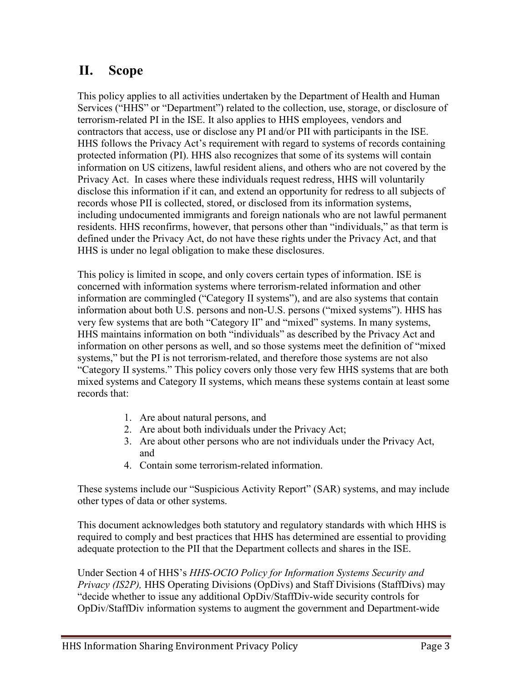## <span id="page-3-0"></span>**II. Scope**

This policy applies to all activities undertaken by the Department of Health and Human Services ("HHS" or "Department") related to the collection, use, storage, or disclosure of terrorism-related PI in the ISE. It also applies to HHS employees, vendors and contractors that access, use or disclose any PI and/or PII with participants in the ISE. HHS follows the Privacy Act's requirement with regard to systems of records containing protected information (PI). HHS also recognizes that some of its systems will contain information on US citizens, lawful resident aliens, and others who are not covered by the Privacy Act. In cases where these individuals request redress, HHS will voluntarily disclose this information if it can, and extend an opportunity for redress to all subjects of records whose PII is collected, stored, or disclosed from its information systems, including undocumented immigrants and foreign nationals who are not lawful permanent residents. HHS reconfirms, however, that persons other than "individuals," as that term is defined under the Privacy Act, do not have these rights under the Privacy Act, and that HHS is under no legal obligation to make these disclosures.

This policy is limited in scope, and only covers certain types of information. ISE is concerned with information systems where terrorism-related information and other information are commingled ("Category II systems"), and are also systems that contain information about both U.S. persons and non-U.S. persons ("mixed systems"). HHS has very few systems that are both "Category II" and "mixed" systems. In many systems, HHS maintains information on both "individuals" as described by the Privacy Act and information on other persons as well, and so those systems meet the definition of "mixed systems," but the PI is not terrorism-related, and therefore those systems are not also "Category II systems." This policy covers only those very few HHS systems that are both mixed systems and Category II systems, which means these systems contain at least some records that:

- 1. Are about natural persons, and
- 2. Are about both individuals under the Privacy Act;
- 3. Are about other persons who are not individuals under the Privacy Act, and
- 4. Contain some terrorism-related information.

These systems include our "Suspicious Activity Report" (SAR) systems, and may include other types of data or other systems.

This document acknowledges both statutory and regulatory standards with which HHS is required to comply and best practices that HHS has determined are essential to providing adequate protection to the PII that the Department collects and shares in the ISE.

Under Section 4 of HHS's *HHS-OCIO Policy for Information Systems Security and Privacy (IS2P),* HHS Operating Divisions (OpDivs) and Staff Divisions (StaffDivs) may "decide whether to issue any additional OpDiv/StaffDiv-wide security controls for OpDiv/StaffDiv information systems to augment the government and Department-wide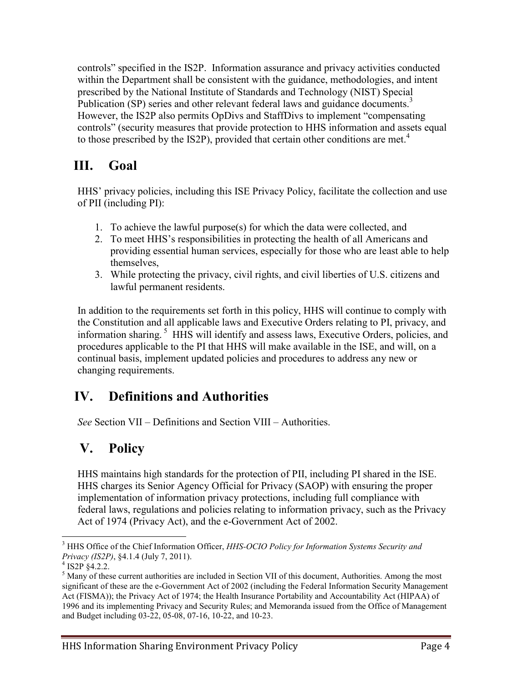controls" specified in the IS2P. Information assurance and privacy activities conducted within the Department shall be consistent with the guidance, methodologies, and intent prescribed by the National Institute of Standards and Technology (NIST) Special Publication (SP) series and other relevant federal laws and guidance documents.<sup>3</sup> However, the IS2P also permits OpDivs and StaffDivs to implement "compensating controls" (security measures that provide protection to HHS information and assets equal to those prescribed by the IS2P), provided that certain other conditions are met.<sup>4</sup>

## <span id="page-4-0"></span>**III. Goal**

HHS' privacy policies, including this ISE Privacy Policy, facilitate the collection and use of PII (including PI):

- 1. To achieve the lawful purpose(s) for which the data were collected, and
- 2. To meet HHS's responsibilities in protecting the health of all Americans and providing essential human services, especially for those who are least able to help themselves,
- 3. While protecting the privacy, civil rights, and civil liberties of U.S. citizens and lawful permanent residents.

In addition to the requirements set forth in this policy, HHS will continue to comply with the Constitution and all applicable laws and Executive Orders relating to PI, privacy, and information sharing. 5 HHS will identify and assess laws, Executive Orders, policies, and procedures applicable to the PI that HHS will make available in the ISE, and will, on a continual basis, implement updated policies and procedures to address any new or changing requirements.

### <span id="page-4-1"></span>**IV. Definitions and Authorities**

*See* Section VII – Definitions and Section VIII – Authorities.

## <span id="page-4-2"></span>**V. Policy**

HHS maintains high standards for the protection of PII, including PI shared in the ISE. HHS charges its Senior Agency Official for Privacy (SAOP) with ensuring the proper implementation of information privacy protections, including full compliance with federal laws, regulations and policies relating to information privacy, such as the Privacy Act of 1974 (Privacy Act), and the e-Government Act of 2002.

 $\overline{a}$ <sup>3</sup> HHS Office of the Chief Information Officer, *HHS-OCIO Policy for Information Systems Security and Privacy (IS2P)*, §4.1.4 (July 7, 2011).<br><sup>4</sup> IS2P §4.2.2.

<sup>&</sup>lt;sup>5</sup> Many of these current authorities are included in Section VII of this document, Authorities. Among the most significant of these are the e-Government Act of 2002 (including the Federal Information Security Management Act (FISMA)); the Privacy Act of 1974; the Health Insurance Portability and Accountability Act (HIPAA) of 1996 and its implementing Privacy and Security Rules; and Memoranda issued from the Office of Management and Budget including 03-22, 05-08, 07-16, 10-22, and 10-23.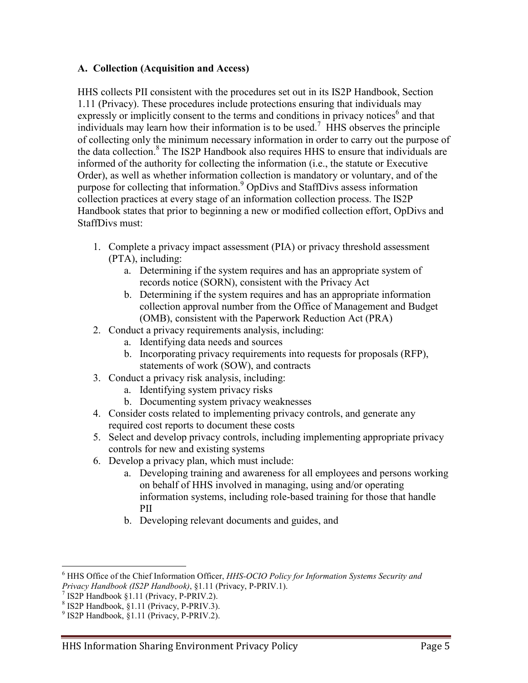#### **A. Collection (Acquisition and Access)**

HHS collects PII consistent with the procedures set out in its IS2P Handbook, Section 1.11 (Privacy). These procedures include protections ensuring that individuals may expressly or implicitly consent to the terms and conditions in privacy notices<sup>6</sup> and that individuals may learn how their information is to be used.<sup>7</sup> HHS observes the principle of collecting only the minimum necessary information in order to carry out the purpose of the data collection.<sup>8</sup> The IS2P Handbook also requires HHS to ensure that individuals are informed of the authority for collecting the information (i.e., the statute or Executive Order), as well as whether information collection is mandatory or voluntary, and of the purpose for collecting that information.<sup>9</sup> OpDivs and StaffDivs assess information collection practices at every stage of an information collection process. The IS2P Handbook states that prior to beginning a new or modified collection effort, OpDivs and StaffDivs must:

- 1. Complete a privacy impact assessment (PIA) or privacy threshold assessment (PTA), including:
	- a. Determining if the system requires and has an appropriate system of records notice (SORN), consistent with the Privacy Act
	- b. Determining if the system requires and has an appropriate information collection approval number from the Office of Management and Budget (OMB), consistent with the Paperwork Reduction Act (PRA)
- 2. Conduct a privacy requirements analysis, including:
	- a. Identifying data needs and sources
	- b. Incorporating privacy requirements into requests for proposals (RFP), statements of work (SOW), and contracts
- 3. Conduct a privacy risk analysis, including:
	- a. Identifying system privacy risks
	- b. Documenting system privacy weaknesses
- 4. Consider costs related to implementing privacy controls, and generate any required cost reports to document these costs
- 5. Select and develop privacy controls, including implementing appropriate privacy controls for new and existing systems
- 6. Develop a privacy plan, which must include:
	- a. Developing training and awareness for all employees and persons working on behalf of HHS involved in managing, using and/or operating information systems, including role-based training for those that handle PII
	- b. Developing relevant documents and guides, and

 $\overline{a}$ 

<sup>6</sup> HHS Office of the Chief Information Officer, *HHS-OCIO Policy for Information Systems Security and* 

<sup>&</sup>lt;sup>7</sup> IS2P Handbook §1.11 (Privacy, P-PRIV.2). <sup>8</sup> IS2P Handbook, §1.11 (Privacy, P-PRIV.3). 9 IS2P Handbook, §1.11 (Privacy, P-PRIV.2).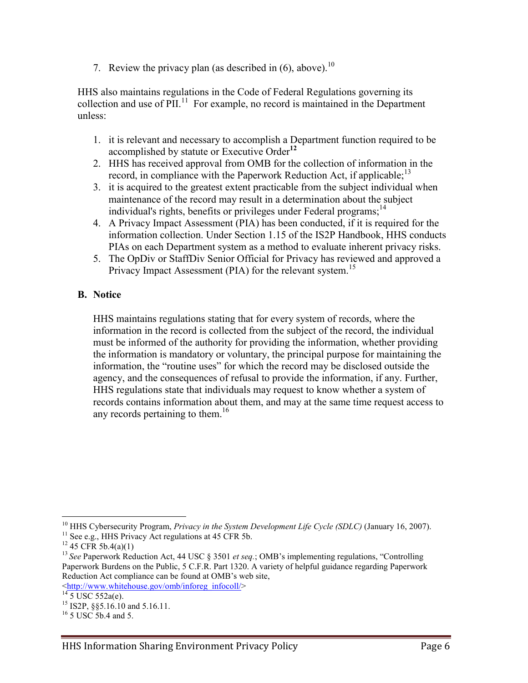7. Review the privacy plan (as described in  $(6)$ , above).<sup>10</sup>

HHS also maintains regulations in the Code of Federal Regulations governing its collection and use of  $\text{PII}$ .<sup>11</sup> For example, no record is maintained in the Department unless:

- 1. it is relevant and necessary to accomplish a Department function required to be accomplished by statute or Executive Order**<sup>12</sup>**
- 2. HHS has received approval from OMB for the collection of information in the record, in compliance with the Paperwork Reduction Act, if applicable;<sup>13</sup>
- 3. it is acquired to the greatest extent practicable from the subject individual when maintenance of the record may result in a determination about the subject individual's rights, benefits or privileges under Federal programs;  $14$
- 4. A Privacy Impact Assessment (PIA) has been conducted, if it is required for the information collection. Under Section 1.15 of the IS2P Handbook, HHS conducts PIAs on each Department system as a method to evaluate inherent privacy risks.
- 5. The OpDiv or StaffDiv Senior Official for Privacy has reviewed and approved a Privacy Impact Assessment (PIA) for the relevant system.<sup>15</sup>

#### **B. Notice**

HHS maintains regulations stating that for every system of records, where the information in the record is collected from the subject of the record, the individual must be informed of the authority for providing the information, whether providing the information is mandatory or voluntary, the principal purpose for maintaining the information, the "routine uses" for which the record may be disclosed outside the agency, and the consequences of refusal to provide the information, if any. Further, HHS regulations state that individuals may request to know whether a system of records contains information about them, and may at the same time request access to any records pertaining to them.<sup>16</sup>

 $\overline{a}$ 

<sup>&</sup>lt;sup>10</sup> HHS Cybersecurity Program, *Privacy in the System Development Life Cycle (SDLC)* (January 16, 2007).<br><sup>11</sup> See e.g., HHS Privacy Act regulations at 45 CFR 5b.<br><sup>12</sup> 45 CFR 5b.4(a)(1)<br><sup>13</sup> See Paperwork Reduction Act, 4

Paperwork Burdens on the Public, 5 C.F.R. Part 1320. A variety of helpful guidance regarding Paperwork Reduction Act compliance can be found at OMB's web site,

 $\frac{\text{thttp://www.whitehouse.gov/omb/inforeg_infocoll/}}{^{14} 5 \text{ USC } 552a(e)}.$  $\frac{\text{thttp://www.whitehouse.gov/omb/inforeg_infocoll/}}{^{14} 5 \text{ USC } 552a(e)}.$  $\frac{\text{thttp://www.whitehouse.gov/omb/inforeg_infocoll/}}{^{14} 5 \text{ USC } 552a(e)}.$ <br>
<sup>15</sup> IS2P, §§5.16.10 and 5.16.11.<br>
<sup>16</sup> 5 USC 5b.4 and 5.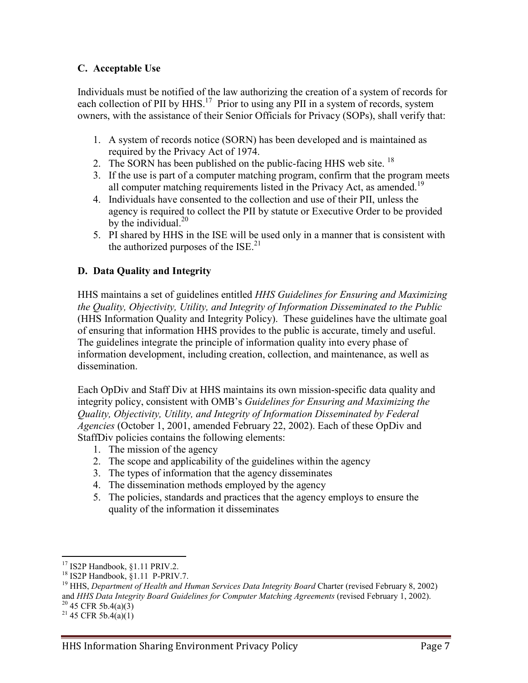#### **C. Acceptable Use**

Individuals must be notified of the law authorizing the creation of a system of records for each collection of PII by HHS.<sup>17</sup> Prior to using any PII in a system of records, system owners, with the assistance of their Senior Officials for Privacy (SOPs), shall verify that:

- 1. A system of records notice (SORN) has been developed and is maintained as required by the Privacy Act of 1974.
- 2. The SORN has been published on the public-facing HHS web site.  $^{18}$
- 3. If the use is part of a computer matching program, confirm that the program meets all computer matching requirements listed in the Privacy Act, as amended.<sup>19</sup>
- 4. Individuals have consented to the collection and use of their PII, unless the agency is required to collect the PII by statute or Executive Order to be provided by the individual. $^{20}$
- 5. PI shared by HHS in the ISE will be used only in a manner that is consistent with the authorized purposes of the  $ISE^{21}$ .

#### **D. Data Quality and Integrity**

HHS maintains a set of guidelines entitled *HHS Guidelines for Ensuring and Maximizing the Quality, Objectivity, Utility, and Integrity of Information Disseminated to the Public* (HHS Information Quality and Integrity Policy). These guidelines have the ultimate goal of ensuring that information HHS provides to the public is accurate, timely and useful. The guidelines integrate the principle of information quality into every phase of information development, including creation, collection, and maintenance, as well as dissemination.

Each OpDiv and Staff Div at HHS maintains its own mission-specific data quality and integrity policy, consistent with OMB's *Guidelines for Ensuring and Maximizing the Quality, Objectivity, Utility, and Integrity of Information Disseminated by Federal Agencies* (October 1, 2001, amended February 22, 2002). Each of these OpDiv and StaffDiv policies contains the following elements:

- 1. The mission of the agency
- 2. The scope and applicability of the guidelines within the agency
- 3. The types of information that the agency disseminates
- 4. The dissemination methods employed by the agency
- 5. The policies, standards and practices that the agency employs to ensure the quality of the information it disseminates

<sup>&</sup>lt;sup>17</sup> IS2P Handbook, §1.11 PRIV.2.

<sup>&</sup>lt;sup>18</sup> IS2P Handbook, §1.11 P-PRIV.7.<br><sup>19</sup> HHS, *Department of Health and Human Services Data Integrity Board Charter (revised February 8, 2002)* and *HHS Data Integrity Board Guidelines for Computer Matching Agreements* (revised February 1, 2002).<br><sup>20</sup> 45 CFR 5b.4(a)(3)<br><sup>21</sup> 45 CFR 5b.4(a)(1)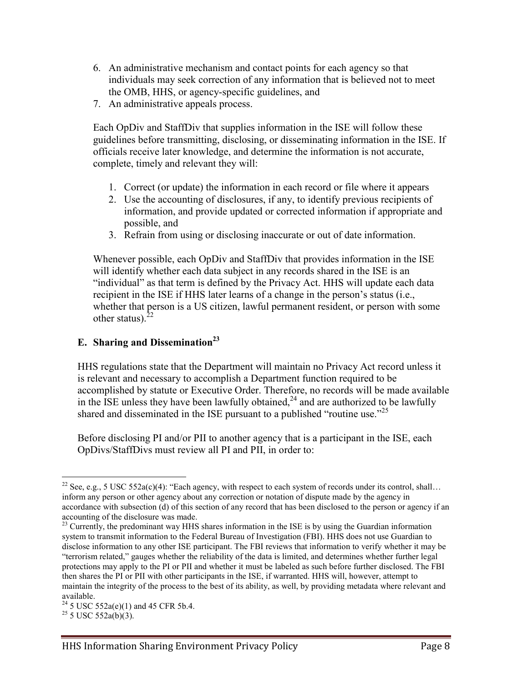- 6. An administrative mechanism and contact points for each agency so that individuals may seek correction of any information that is believed not to meet the OMB, HHS, or agency-specific guidelines, and
- 7. An administrative appeals process.

Each OpDiv and StaffDiv that supplies information in the ISE will follow these guidelines before transmitting, disclosing, or disseminating information in the ISE. If officials receive later knowledge, and determine the information is not accurate, complete, timely and relevant they will:

- 1. Correct (or update) the information in each record or file where it appears
- 2. Use the accounting of disclosures, if any, to identify previous recipients of information, and provide updated or corrected information if appropriate and possible, and
- 3. Refrain from using or disclosing inaccurate or out of date information.

Whenever possible, each OpDiv and StaffDiv that provides information in the ISE will identify whether each data subject in any records shared in the ISE is an "individual" as that term is defined by the Privacy Act. HHS will update each data recipient in the ISE if HHS later learns of a change in the person's status (i.e., whether that person is a US citizen, lawful permanent resident, or person with some other status). $<sup>2</sup>$ </sup>

#### **E.** Sharing and Dissemination<sup>23</sup>

HHS regulations state that the Department will maintain no Privacy Act record unless it is relevant and necessary to accomplish a Department function required to be accomplished by statute or Executive Order. Therefore, no records will be made available in the ISE unless they have been lawfully obtained,  $24$  and are authorized to be lawfully shared and disseminated in the ISE pursuant to a published "routine use."<sup>25</sup>

Before disclosing PI and/or PII to another agency that is a participant in the ISE, each OpDivs/StaffDivs must review all PI and PII, in order to:

 $\overline{a}$ 

<sup>&</sup>lt;sup>22</sup> See, e.g., 5 USC 552a(c)(4): "Each agency, with respect to each system of records under its control, shall... inform any person or other agency about any correction or notation of dispute made by the agency in accordance with subsection (d) of this section of any record that has been disclosed to the person or agency if an accounting of the disclosure was made.

<sup>&</sup>lt;sup>23</sup> Currently, the predominant way HHS shares information in the ISE is by using the Guardian information system to transmit information to the Federal Bureau of Investigation (FBI). HHS does not use Guardian to disclose information to any other ISE participant. The FBI reviews that information to verify whether it may be "terrorism related," gauges whether the reliability of the data is limited, and determines whether further legal protections may apply to the PI or PII and whether it must be labeled as such before further disclosed. The FBI then shares the PI or PII with other participants in the ISE, if warranted. HHS will, however, attempt to maintain the integrity of the process to the best of its ability, as well, by providing metadata where relevant and available.

 $^{24}$  5 USC 552a(e)(1) and 45 CFR 5b.4.<br><sup>25</sup> 5 USC 552a(b)(3).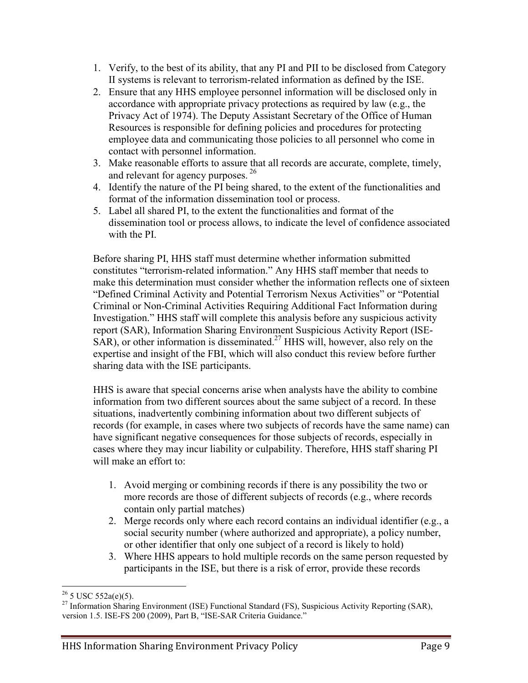- 1. Verify, to the best of its ability, that any PI and PII to be disclosed from Category II systems is relevant to terrorism-related information as defined by the ISE.
- 2. Ensure that any HHS employee personnel information will be disclosed only in accordance with appropriate privacy protections as required by law (e.g., the Privacy Act of 1974). The Deputy Assistant Secretary of the Office of Human Resources is responsible for defining policies and procedures for protecting employee data and communicating those policies to all personnel who come in contact with personnel information.
- 3. Make reasonable efforts to assure that all records are accurate, complete, timely, and relevant for agency purposes. <sup>26</sup>
- 4. Identify the nature of the PI being shared, to the extent of the functionalities and format of the information dissemination tool or process.
- 5. Label all shared PI, to the extent the functionalities and format of the dissemination tool or process allows, to indicate the level of confidence associated with the PI.

Before sharing PI, HHS staff must determine whether information submitted constitutes "terrorism-related information." Any HHS staff member that needs to make this determination must consider whether the information reflects one of sixteen "Defined Criminal Activity and Potential Terrorism Nexus Activities" or "Potential Criminal or Non-Criminal Activities Requiring Additional Fact Information during Investigation." HHS staff will complete this analysis before any suspicious activity report (SAR), Information Sharing Environment Suspicious Activity Report (ISE- $SAR$ ), or other information is disseminated.<sup>27</sup> HHS will, however, also rely on the expertise and insight of the FBI, which will also conduct this review before further sharing data with the ISE participants.

HHS is aware that special concerns arise when analysts have the ability to combine information from two different sources about the same subject of a record. In these situations, inadvertently combining information about two different subjects of records (for example, in cases where two subjects of records have the same name) can have significant negative consequences for those subjects of records, especially in cases where they may incur liability or culpability. Therefore, HHS staff sharing PI will make an effort to:

- 1. Avoid merging or combining records if there is any possibility the two or more records are those of different subjects of records (e.g., where records contain only partial matches)
- 2. Merge records only where each record contains an individual identifier (e.g., a social security number (where authorized and appropriate), a policy number, or other identifier that only one subject of a record is likely to hold)
- 3. Where HHS appears to hold multiple records on the same person requested by participants in the ISE, but there is a risk of error, provide these records

 $\overline{a}$ 

<sup>&</sup>lt;sup>26</sup> 5 USC 552a(e)(5).<br><sup>27</sup> Information Sharing Environment (ISE) Functional Standard (FS), Suspicious Activity Reporting (SAR), version 1.5. ISE-FS 200 (2009), Part B, "ISE-SAR Criteria Guidance."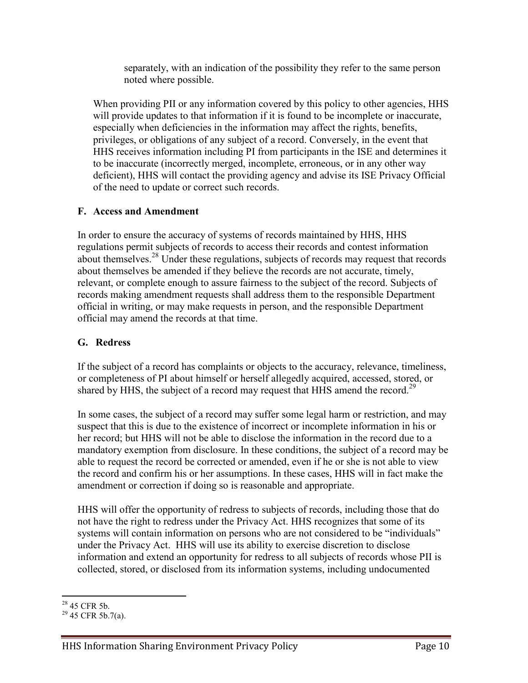separately, with an indication of the possibility they refer to the same person noted where possible.

When providing PII or any information covered by this policy to other agencies, HHS will provide updates to that information if it is found to be incomplete or inaccurate, especially when deficiencies in the information may affect the rights, benefits, privileges, or obligations of any subject of a record. Conversely, in the event that HHS receives information including PI from participants in the ISE and determines it to be inaccurate (incorrectly merged, incomplete, erroneous, or in any other way deficient), HHS will contact the providing agency and advise its ISE Privacy Official of the need to update or correct such records.

#### **F. Access and Amendment**

In order to ensure the accuracy of systems of records maintained by HHS, HHS regulations permit subjects of records to access their records and contest information about themselves.<sup>28</sup> Under these regulations, subjects of records may request that records about themselves be amended if they believe the records are not accurate, timely, relevant, or complete enough to assure fairness to the subject of the record. Subjects of records making amendment requests shall address them to the responsible Department official in writing, or may make requests in person, and the responsible Department official may amend the records at that time.

#### **G. Redress**

If the subject of a record has complaints or objects to the accuracy, relevance, timeliness, or completeness of PI about himself or herself allegedly acquired, accessed, stored, or shared by HHS, the subject of a record may request that HHS amend the record.<sup>29</sup>

In some cases, the subject of a record may suffer some legal harm or restriction, and may suspect that this is due to the existence of incorrect or incomplete information in his or her record; but HHS will not be able to disclose the information in the record due to a mandatory exemption from disclosure. In these conditions, the subject of a record may be able to request the record be corrected or amended, even if he or she is not able to view the record and confirm his or her assumptions. In these cases, HHS will in fact make the amendment or correction if doing so is reasonable and appropriate.

HHS will offer the opportunity of redress to subjects of records, including those that do not have the right to redress under the Privacy Act. HHS recognizes that some of its systems will contain information on persons who are not considered to be "individuals" under the Privacy Act. HHS will use its ability to exercise discretion to disclose information and extend an opportunity for redress to all subjects of records whose PII is collected, stored, or disclosed from its information systems, including undocumented

 $28$  45 CFR 5b.

 $29$  45 CFR 5b.7(a).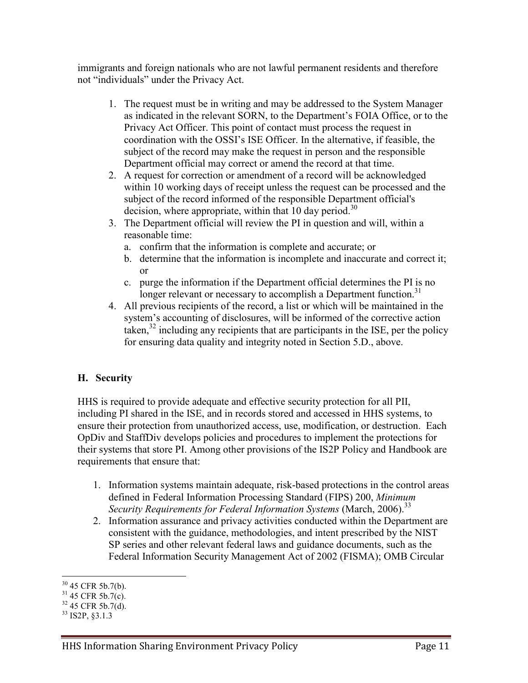immigrants and foreign nationals who are not lawful permanent residents and therefore not "individuals" under the Privacy Act.

- 1. The request must be in writing and may be addressed to the System Manager as indicated in the relevant SORN, to the Department's FOIA Office, or to the Privacy Act Officer. This point of contact must process the request in coordination with the OSSI's ISE Officer. In the alternative, if feasible, the subject of the record may make the request in person and the responsible Department official may correct or amend the record at that time.
- 2. A request for correction or amendment of a record will be acknowledged within 10 working days of receipt unless the request can be processed and the subject of the record informed of the responsible Department official's decision, where appropriate, within that 10 day period.<sup>30</sup>
- 3. The Department official will review the PI in question and will, within a reasonable time:
	- a. confirm that the information is complete and accurate; or
	- b. determine that the information is incomplete and inaccurate and correct it; or
	- c. purge the information if the Department official determines the PI is no longer relevant or necessary to accomplish a Department function.<sup>31</sup>
- 4. All previous recipients of the record, a list or which will be maintained in the system's accounting of disclosures, will be informed of the corrective action taken,<sup>32</sup> including any recipients that are participants in the ISE, per the policy for ensuring data quality and integrity noted in Section 5.D., above.

#### **H. Security**

HHS is required to provide adequate and effective security protection for all PII, including PI shared in the ISE, and in records stored and accessed in HHS systems, to ensure their protection from unauthorized access, use, modification, or destruction. Each OpDiv and StaffDiv develops policies and procedures to implement the protections for their systems that store PI. Among other provisions of the IS2P Policy and Handbook are requirements that ensure that:

- 1. Information systems maintain adequate, risk-based protections in the control areas defined in Federal Information Processing Standard (FIPS) 200, *Minimum Security Requirements for Federal Information Systems* (March, 2006).<sup>33</sup>
- 2. Information assurance and privacy activities conducted within the Department are consistent with the guidance, methodologies, and intent prescribed by the NIST SP series and other relevant federal laws and guidance documents, such as the Federal Information Security Management Act of 2002 (FISMA); OMB Circular

 $\overline{a}$ 

<sup>&</sup>lt;sup>30</sup> 45 CFR 5b.7(b).<br><sup>31</sup> 45 CFR 5b.7(c).<br><sup>32</sup> 45 CFR 5b.7(d).<br><sup>33</sup> IS2P, §3.1.3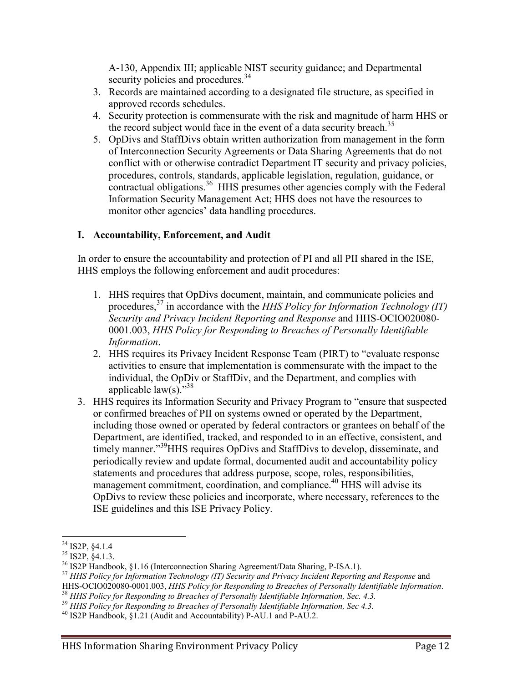A-130, Appendix III; applicable NIST security guidance; and Departmental security policies and procedures.<sup>34</sup>

- 3. Records are maintained according to a designated file structure, as specified in approved records schedules.
- 4. Security protection is commensurate with the risk and magnitude of harm HHS or the record subject would face in the event of a data security breach.<sup>35</sup>
- 5. OpDivs and StaffDivs obtain written authorization from management in the form of Interconnection Security Agreements or Data Sharing Agreements that do not conflict with or otherwise contradict Department IT security and privacy policies, procedures, controls, standards, applicable legislation, regulation, guidance, or  $\frac{1}{2}$  contractual obligations.<sup>36</sup> HHS presumes other agencies comply with the Federal Information Security Management Act; HHS does not have the resources to monitor other agencies' data handling procedures.

#### **I. Accountability, Enforcement, and Audit**

In order to ensure the accountability and protection of PI and all PII shared in the ISE, HHS employs the following enforcement and audit procedures:

- 1. HHS requires that OpDivs document, maintain, and communicate policies and procedures,<sup>37</sup> in accordance with the *HHS Policy for Information Technology (IT) Security and Privacy Incident Reporting and Response* and HHS-OCIO020080- 0001.003, *HHS Policy for Responding to Breaches of Personally Identifiable Information*.
- 2. HHS requires its Privacy Incident Response Team (PIRT) to "evaluate response activities to ensure that implementation is commensurate with the impact to the individual, the OpDiv or StaffDiv, and the Department, and complies with applicable  $law(s)$ ."<sup>38</sup>
- 3. HHS requires its Information Security and Privacy Program to "ensure that suspected or confirmed breaches of PII on systems owned or operated by the Department, including those owned or operated by federal contractors or grantees on behalf of the Department, are identified, tracked, and responded to in an effective, consistent, and timely manner."39HHS requires OpDivs and StaffDivs to develop, disseminate, and periodically review and update formal, documented audit and accountability policy statements and procedures that address purpose, scope, roles, responsibilities, management commitment, coordination, and compliance.<sup>40</sup> HHS will advise its OpDivs to review these policies and incorporate, where necessary, references to the ISE guidelines and this ISE Privacy Policy.

<sup>&</sup>lt;sup>34</sup> IS2P, §4.1.4

<sup>&</sup>lt;sup>35</sup> IS2P, §4.1.3.<br><sup>36</sup> IS2P Handbook, §1.16 (Interconnection Sharing Agreement/Data Sharing, P-ISA.1).<br><sup>37</sup> HHS Policy for Information Technology (IT) Security and Privacy Incident Reporting and Response and<br>HHS-OCIO02008

<sup>&</sup>lt;sup>38</sup> HHS Policy for Responding to Breaches of Personally Identifiable Information, Sec. 4.3.<br><sup>39</sup> HHS Policy for Responding to Breaches of Personally Identifiable Information, Sec 4.3.<br><sup>40</sup> IS2P Handbook, §1.21 (Audit and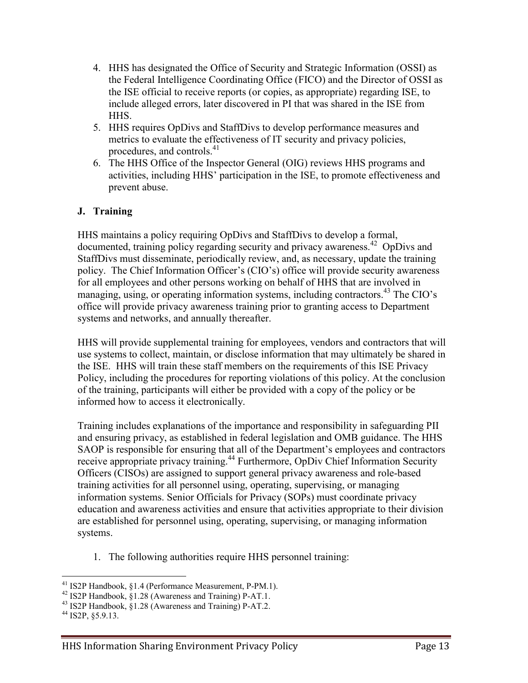- 4. HHS has designated the Office of Security and Strategic Information (OSSI) as the Federal Intelligence Coordinating Office (FICO) and the Director of OSSI as the ISE official to receive reports (or copies, as appropriate) regarding ISE, to include alleged errors, later discovered in PI that was shared in the ISE from **HHS**
- 5. HHS requires OpDivs and StaffDivs to develop performance measures and metrics to evaluate the effectiveness of IT security and privacy policies, procedures, and controls.<sup>41</sup>
- 6. The HHS Office of the Inspector General (OIG) reviews HHS programs and activities, including HHS' participation in the ISE, to promote effectiveness and prevent abuse.

#### **J. Training**

HHS maintains a policy requiring OpDivs and StaffDivs to develop a formal, documented, training policy regarding security and privacy awareness.<sup>42</sup> OpDivs and StaffDivs must disseminate, periodically review, and, as necessary, update the training policy. The Chief Information Officer's (CIO's) office will provide security awareness for all employees and other persons working on behalf of HHS that are involved in managing, using, or operating information systems, including contractors.<sup>43</sup> The CIO's office will provide privacy awareness training prior to granting access to Department systems and networks, and annually thereafter.

HHS will provide supplemental training for employees, vendors and contractors that will use systems to collect, maintain, or disclose information that may ultimately be shared in the ISE. HHS will train these staff members on the requirements of this ISE Privacy Policy, including the procedures for reporting violations of this policy. At the conclusion of the training, participants will either be provided with a copy of the policy or be informed how to access it electronically.

Training includes explanations of the importance and responsibility in safeguarding PII and ensuring privacy, as established in federal legislation and OMB guidance. The HHS SAOP is responsible for ensuring that all of the Department's employees and contractors receive appropriate privacy training.<sup>44</sup> Furthermore, OpDiv Chief Information Security Officers (CISOs) are assigned to support general privacy awareness and role-based training activities for all personnel using, operating, supervising, or managing information systems. Senior Officials for Privacy (SOPs) must coordinate privacy education and awareness activities and ensure that activities appropriate to their division are established for personnel using, operating, supervising, or managing information systems.

1. The following authorities require HHS personnel training:

 $\overline{a}$ <sup>41</sup> IS2P Handbook, §1.4 (Performance Measurement, P-PM.1).<br><sup>42</sup> IS2P Handbook, §1.28 (Awareness and Training) P-AT.1.<br><sup>43</sup> IS2P Handbook, §1.28 (Awareness and Training) P-AT.2.<br><sup>44</sup> IS2P, §5.9.13.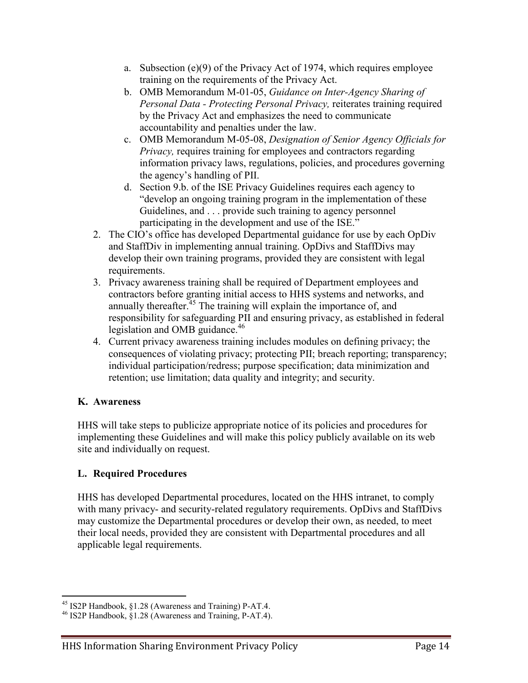- a. Subsection (e)(9) of the Privacy Act of 1974, which requires employee training on the requirements of the Privacy Act.
- b. OMB Memorandum M-01-05, *Guidance on Inter-Agency Sharing of Personal Data - Protecting Personal Privacy,* reiterates training required by the Privacy Act and emphasizes the need to communicate accountability and penalties under the law.
- c. OMB Memorandum M-05-08, *Designation of Senior Agency Officials for Privacy*, requires training for employees and contractors regarding information privacy laws, regulations, policies, and procedures governing the agency's handling of PII.
- d. Section 9.b. of the ISE Privacy Guidelines requires each agency to "develop an ongoing training program in the implementation of these Guidelines, and . . . provide such training to agency personnel participating in the development and use of the ISE."
- 2. The CIO's office has developed Departmental guidance for use by each OpDiv and StaffDiv in implementing annual training. OpDivs and StaffDivs may develop their own training programs, provided they are consistent with legal requirements.
- 3. Privacy awareness training shall be required of Department employees and contractors before granting initial access to HHS systems and networks, and annually thereafter.<sup> $45$ </sup> The training will explain the importance of, and responsibility for safeguarding PII and ensuring privacy, as established in federal legislation and OMB guidance.<sup>46</sup>
- 4. Current privacy awareness training includes modules on defining privacy; the consequences of violating privacy; protecting PII; breach reporting; transparency; individual participation/redress; purpose specification; data minimization and retention; use limitation; data quality and integrity; and security.

#### **K. Awareness**

HHS will take steps to publicize appropriate notice of its policies and procedures for implementing these Guidelines and will make this policy publicly available on its web site and individually on request.

#### **L. Required Procedures**

HHS has developed Departmental procedures, located on the HHS intranet, to comply with many privacy- and security-related regulatory requirements. OpDivs and StaffDivs may customize the Departmental procedures or develop their own, as needed, to meet their local needs, provided they are consistent with Departmental procedures and all applicable legal requirements.

<sup>&</sup>lt;sup>45</sup> IS2P Handbook,  $$1.28$  (Awareness and Training) P-AT.4.

<sup>&</sup>lt;sup>46</sup> IS2P Handbook, §1.28 (Awareness and Training, P-AT.4).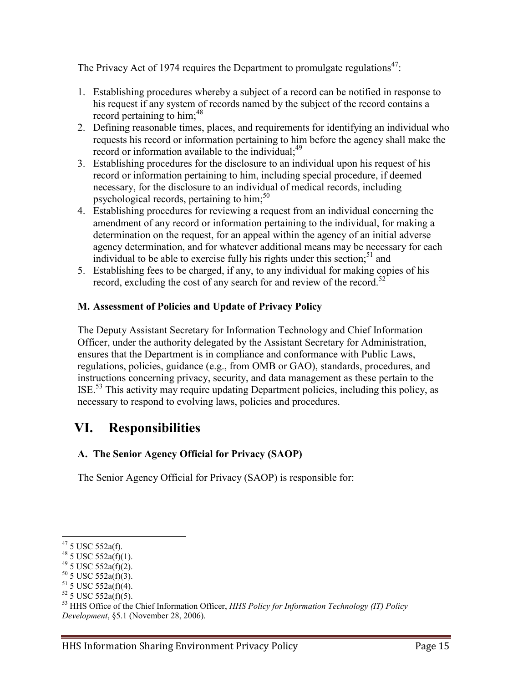The Privacy Act of 1974 requires the Department to promulgate regulations<sup>47</sup>:

- 1. Establishing procedures whereby a subject of a record can be notified in response to his request if any system of records named by the subject of the record contains a record pertaining to him;<sup>48</sup>
- 2. Defining reasonable times, places, and requirements for identifying an individual who requests his record or information pertaining to him before the agency shall make the record or information available to the individual;<sup>49</sup>
- 3. Establishing procedures for the disclosure to an individual upon his request of his record or information pertaining to him, including special procedure, if deemed necessary, for the disclosure to an individual of medical records, including psychological records, pertaining to  $\text{him}$ ;<sup>50</sup>
- 4. Establishing procedures for reviewing a request from an individual concerning the amendment of any record or information pertaining to the individual, for making a determination on the request, for an appeal within the agency of an initial adverse agency determination, and for whatever additional means may be necessary for each individual to be able to exercise fully his rights under this section;<sup>51</sup> and
- 5. Establishing fees to be charged, if any, to any individual for making copies of his record, excluding the cost of any search for and review of the record.<sup>52</sup>

#### **M. Assessment of Policies and Update of Privacy Policy**

The Deputy Assistant Secretary for Information Technology and Chief Information Officer, under the authority delegated by the Assistant Secretary for Administration, ensures that the Department is in compliance and conformance with Public Laws, regulations, policies, guidance (e.g., from OMB or GAO), standards, procedures, and instructions concerning privacy, security, and data management as these pertain to the ISE.<sup>53</sup> This activity may require updating Department policies, including this policy, as necessary to respond to evolving laws, policies and procedures.

### <span id="page-15-0"></span>**VI. Responsibilities**

#### **A. The Senior Agency Official for Privacy (SAOP)**

The Senior Agency Official for Privacy (SAOP) is responsible for:

 $47$  5 USC 552a(f).

<sup>&</sup>lt;sup>48</sup> 5 USC 552a(f)(1).<br>
<sup>49</sup> 5 USC 552a(f)(2).<br>
<sup>50</sup> 5 USC 552a(f)(3).<br>
<sup>51</sup> 5 USC 552a(f)(4).<br>
<sup>52</sup> 5 USC 552a(f)(5).<br>
<sup>52</sup> 5 USC 552a(f)(5).<br>
<sup>52</sup> 5 USC 552a(f)(5). *Development*, §5.1 (November 28, 2006).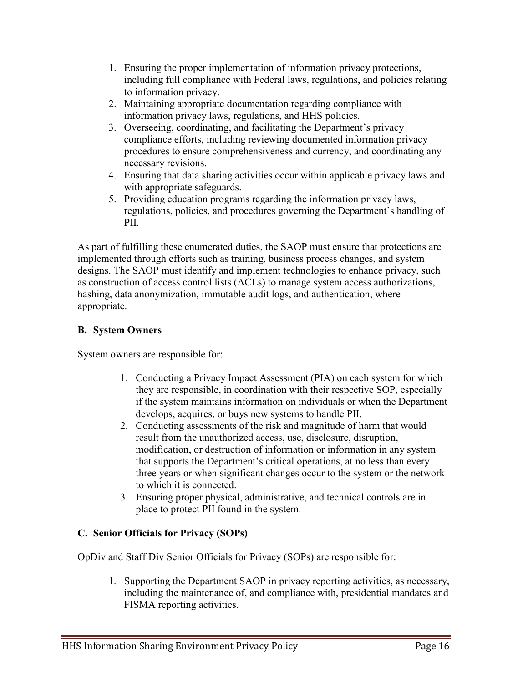- 1. Ensuring the proper implementation of information privacy protections, including full compliance with Federal laws, regulations, and policies relating to information privacy.
- 2. Maintaining appropriate documentation regarding compliance with information privacy laws, regulations, and HHS policies.
- 3. Overseeing, coordinating, and facilitating the Department's privacy compliance efforts, including reviewing documented information privacy procedures to ensure comprehensiveness and currency, and coordinating any necessary revisions.
- 4. Ensuring that data sharing activities occur within applicable privacy laws and with appropriate safeguards.
- 5. Providing education programs regarding the information privacy laws, regulations, policies, and procedures governing the Department's handling of PII.

As part of fulfilling these enumerated duties, the SAOP must ensure that protections are implemented through efforts such as training, business process changes, and system designs. The SAOP must identify and implement technologies to enhance privacy, such as construction of access control lists (ACLs) to manage system access authorizations, hashing, data anonymization, immutable audit logs, and authentication, where appropriate.

#### **B. System Owners**

System owners are responsible for:

- 1. Conducting a Privacy Impact Assessment (PIA) on each system for which they are responsible, in coordination with their respective SOP, especially if the system maintains information on individuals or when the Department develops, acquires, or buys new systems to handle PII.
- 2. Conducting assessments of the risk and magnitude of harm that would result from the unauthorized access, use, disclosure, disruption, modification, or destruction of information or information in any system that supports the Department's critical operations, at no less than every three years or when significant changes occur to the system or the network to which it is connected.
- 3. Ensuring proper physical, administrative, and technical controls are in place to protect PII found in the system.

#### **C. Senior Officials for Privacy (SOPs)**

OpDiv and Staff Div Senior Officials for Privacy (SOPs) are responsible for:

1. Supporting the Department SAOP in privacy reporting activities, as necessary, including the maintenance of, and compliance with, presidential mandates and FISMA reporting activities.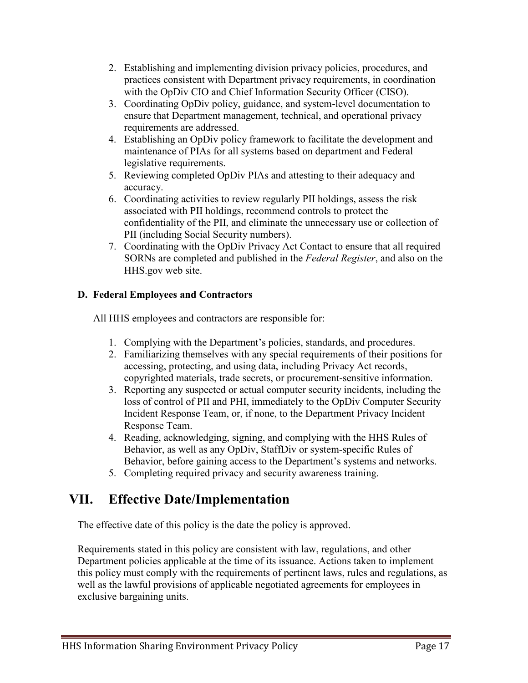- 2. Establishing and implementing division privacy policies, procedures, and practices consistent with Department privacy requirements, in coordination with the OpDiv CIO and Chief Information Security Officer (CISO).
- 3. Coordinating OpDiv policy, guidance, and system-level documentation to ensure that Department management, technical, and operational privacy requirements are addressed.
- 4. Establishing an OpDiv policy framework to facilitate the development and maintenance of PIAs for all systems based on department and Federal legislative requirements.
- 5. Reviewing completed OpDiv PIAs and attesting to their adequacy and accuracy.
- 6. Coordinating activities to review regularly PII holdings, assess the risk associated with PII holdings, recommend controls to protect the confidentiality of the PII, and eliminate the unnecessary use or collection of PII (including Social Security numbers).
- 7. Coordinating with the OpDiv Privacy Act Contact to ensure that all required SORNs are completed and published in the *Federal Register*, and also on the HHS.gov web site.

#### **D. Federal Employees and Contractors**

All HHS employees and contractors are responsible for:

- 1. Complying with the Department's policies, standards, and procedures.
- 2. Familiarizing themselves with any special requirements of their positions for accessing, protecting, and using data, including Privacy Act records, copyrighted materials, trade secrets, or procurement-sensitive information.
- 3. Reporting any suspected or actual computer security incidents, including the loss of control of PII and PHI, immediately to the OpDiv Computer Security Incident Response Team, or, if none, to the Department Privacy Incident Response Team.
- 4. Reading, acknowledging, signing, and complying with the HHS Rules of Behavior, as well as any OpDiv, StaffDiv or system-specific Rules of Behavior, before gaining access to the Department's systems and networks.
- 5. Completing required privacy and security awareness training.

## <span id="page-17-0"></span>**VII. Effective Date/Implementation**

The effective date of this policy is the date the policy is approved.

Requirements stated in this policy are consistent with law, regulations, and other Department policies applicable at the time of its issuance. Actions taken to implement this policy must comply with the requirements of pertinent laws, rules and regulations, as well as the lawful provisions of applicable negotiated agreements for employees in exclusive bargaining units.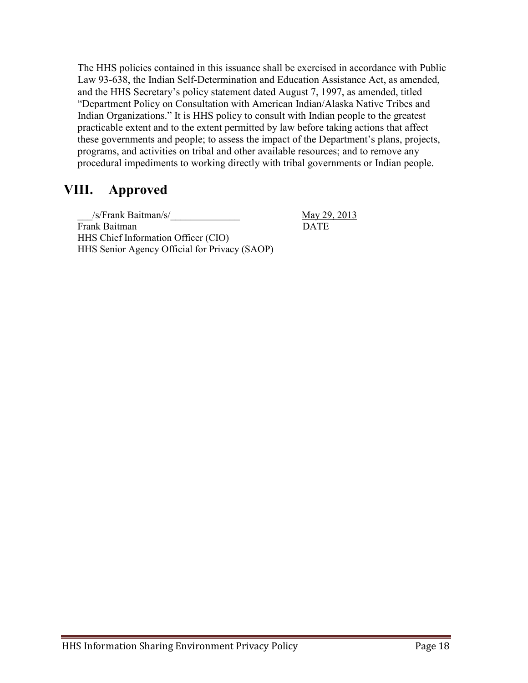The HHS policies contained in this issuance shall be exercised in accordance with Public Law 93-638, the Indian Self-Determination and Education Assistance Act, as amended, and the HHS Secretary's policy statement dated August 7, 1997, as amended, titled "Department Policy on Consultation with American Indian/Alaska Native Tribes and Indian Organizations." It is HHS policy to consult with Indian people to the greatest practicable extent and to the extent permitted by law before taking actions that affect these governments and people; to assess the impact of the Department's plans, projects, programs, and activities on tribal and other available resources; and to remove any procedural impediments to working directly with tribal governments or Indian people.

### <span id="page-18-0"></span>**VIII. Approved**

\_\_\_/s/Frank Baitman/s/\_\_\_\_\_\_\_\_\_\_\_\_\_\_ May 29, 2013 Frank Baitman DATE HHS Chief Information Officer (CIO) HHS Senior Agency Official for Privacy (SAOP)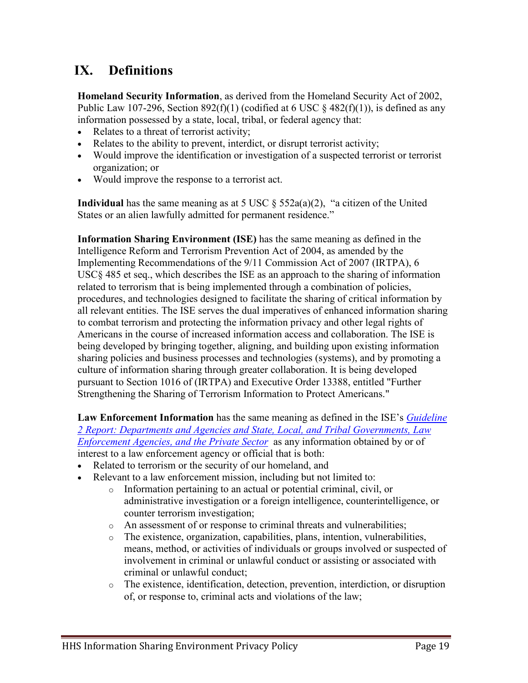## <span id="page-19-0"></span>**IX. Definitions**

**Homeland Security Information**, as derived from the Homeland Security Act of 2002, Public Law 107-296, Section 892(f)(1) (codified at 6 USC  $\S$  482(f)(1)), is defined as any information possessed by a state, local, tribal, or federal agency that:

- Relates to a threat of terrorist activity;
- Relates to the ability to prevent, interdict, or disrupt terrorist activity;
- Would improve the identification or investigation of a suspected terrorist or terrorist organization; or
- Would improve the response to a terrorist act.

**Individual** has the same meaning as at 5 USC § 552a(a)(2), "a citizen of the United States or an alien lawfully admitted for permanent residence."

**Information Sharing Environment (ISE)** has the same meaning as defined in the Intelligence Reform and Terrorism Prevention Act of 2004, as amended by the Implementing Recommendations of the 9/11 Commission Act of 2007 (IRTPA), 6 USC§ 485 et seq., which describes the ISE as an approach to the sharing of information related to terrorism that is being implemented through a combination of policies, procedures, and technologies designed to facilitate the sharing of critical information by all relevant entities. The ISE serves the dual imperatives of enhanced information sharing to combat terrorism and protecting the information privacy and other legal rights of Americans in the course of increased information access and collaboration. The ISE is being developed by bringing together, aligning, and building upon existing information sharing policies and business processes and technologies (systems), and by promoting a culture of information sharing through greater collaboration. It is being developed pursuant to Section 1016 of (IRTPA) and Executive Order 13388, entitled "Further Strengthening the Sharing of Terrorism Information to Protect Americans."

**Law Enforcement Information** has the same meaning as defined in the ISE's *[Guideline](http://ise.gov/guideline-2-report-departments-and-agencies-and-state-local-and-tribal-governments-law-enforcement-a)  [2 Report: Departments and Agencies and State, Local, and Tribal Governments, Law](http://ise.gov/guideline-2-report-departments-and-agencies-and-state-local-and-tribal-governments-law-enforcement-a)  [Enforcement Agencies, and the Private Sector](http://ise.gov/guideline-2-report-departments-and-agencies-and-state-local-and-tribal-governments-law-enforcement-a)* as any information obtained by or of interest to a law enforcement agency or official that is both:

- Related to terrorism or the security of our homeland, and
- Relevant to a law enforcement mission, including but not limited to:
	- o Information pertaining to an actual or potential criminal, civil, or administrative investigation or a foreign intelligence, counterintelligence, or counter terrorism investigation;
	- o An assessment of or response to criminal threats and vulnerabilities;
	- o The existence, organization, capabilities, plans, intention, vulnerabilities, means, method, or activities of individuals or groups involved or suspected of involvement in criminal or unlawful conduct or assisting or associated with criminal or unlawful conduct;
	- o The existence, identification, detection, prevention, interdiction, or disruption of, or response to, criminal acts and violations of the law;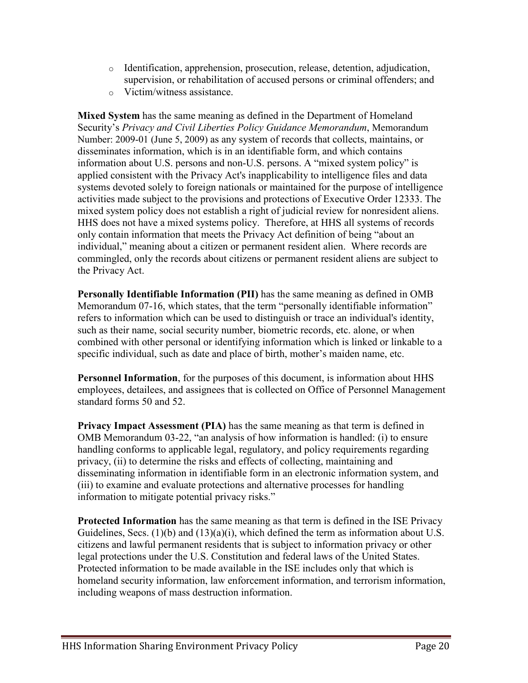- o Identification, apprehension, prosecution, release, detention, adjudication, supervision, or rehabilitation of accused persons or criminal offenders; and
- o Victim/witness assistance.

**Mixed System** has the same meaning as defined in the Department of Homeland Security's *Privacy and Civil Liberties Policy Guidance Memorandum*, Memorandum Number: 2009-01 (June 5, 2009) as any system of records that collects, maintains, or disseminates information, which is in an identifiable form, and which contains information about U.S. persons and non-U.S. persons. A "mixed system policy" is applied consistent with the Privacy Act's inapplicability to intelligence files and data systems devoted solely to foreign nationals or maintained for the purpose of intelligence activities made subject to the provisions and protections of Executive Order 12333. The mixed system policy does not establish a right of judicial review for nonresident aliens. HHS does not have a mixed systems policy. Therefore, at HHS all systems of records only contain information that meets the Privacy Act definition of being "about an individual," meaning about a citizen or permanent resident alien. Where records are commingled, only the records about citizens or permanent resident aliens are subject to the Privacy Act.

**Personally Identifiable Information (PII)** has the same meaning as defined in OMB Memorandum 07-16, which states, that the term "personally identifiable information" refers to information which can be used to distinguish or trace an individual's identity, such as their name, social security number, biometric records, etc. alone, or when combined with other personal or identifying information which is linked or linkable to a specific individual, such as date and place of birth, mother's maiden name, etc.

**Personnel Information**, for the purposes of this document, is information about HHS employees, detailees, and assignees that is collected on Office of Personnel Management standard forms 50 and 52.

**Privacy Impact Assessment (PIA)** has the same meaning as that term is defined in OMB Memorandum 03-22, "an analysis of how information is handled: (i) to ensure handling conforms to applicable legal, regulatory, and policy requirements regarding privacy, (ii) to determine the risks and effects of collecting, maintaining and disseminating information in identifiable form in an electronic information system, and (iii) to examine and evaluate protections and alternative processes for handling information to mitigate potential privacy risks."

**Protected Information** has the same meaning as that term is defined in the ISE Privacy Guidelines, Secs. (1)(b) and (13)(a)(i), which defined the term as information about U.S. citizens and lawful permanent residents that is subject to information privacy or other legal protections under the U.S. Constitution and federal laws of the United States. Protected information to be made available in the ISE includes only that which is homeland security information, law enforcement information, and terrorism information, including weapons of mass destruction information.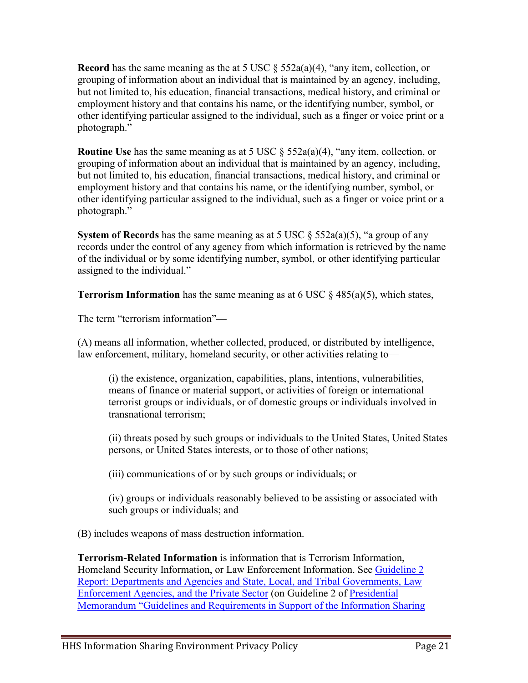**Record** has the same meaning as the at 5 USC § 552a(a)(4), "any item, collection, or grouping of information about an individual that is maintained by an agency, including, but not limited to, his education, financial transactions, medical history, and criminal or employment history and that contains his name, or the identifying number, symbol, or other identifying particular assigned to the individual, such as a finger or voice print or a photograph."

**Routine Use** has the same meaning as at 5 USC § 552a(a)(4), "any item, collection, or grouping of information about an individual that is maintained by an agency, including, but not limited to, his education, financial transactions, medical history, and criminal or employment history and that contains his name, or the identifying number, symbol, or other identifying particular assigned to the individual, such as a finger or voice print or a photograph."

**System of Records** has the same meaning as at 5 USC  $\S$  552a(a)(5), "a group of any records under the control of any agency from which information is retrieved by the name of the individual or by some identifying number, symbol, or other identifying particular assigned to the individual."

**Terrorism Information** has the same meaning as at 6 USC  $\S$  485(a)(5), which states,

The term "terrorism information"—

(A) means all information, whether collected, produced, or distributed by intelligence, law enforcement, military, homeland security, or other activities relating to—

(i) the existence, organization, capabilities, plans, intentions, vulnerabilities, means of finance or material support, or activities of foreign or international terrorist groups or individuals, or of domestic groups or individuals involved in transnational terrorism;

(ii) threats posed by such groups or individuals to the United States, United States persons, or United States interests, or to those of other nations;

(iii) communications of or by such groups or individuals; or

(iv) groups or individuals reasonably believed to be assisting or associated with such groups or individuals; and

(B) includes weapons of mass destruction information.

**Terrorism-Related Information** is information that is Terrorism Information, Homeland Security Information, or Law Enforcement Information. See [Guideline 2](http://ise.gov/guideline-2-report-departments-and-agencies-and-state-local-and-tribal-governments-law-enforcement-a)  [Report: Departments and Agencies and State, Local, and Tribal Governments, Law](http://ise.gov/guideline-2-report-departments-and-agencies-and-state-local-and-tribal-governments-law-enforcement-a)  [Enforcement Agencies, and the Private Sector](http://ise.gov/guideline-2-report-departments-and-agencies-and-state-local-and-tribal-governments-law-enforcement-a) (on Guideline 2 of [Presidential](http://www.ise.gov/sites/default/files/Memo_on_Guidelines_and_Rqmts_in_Support_of_the_ISE.pdf)  [Memorandum "Guidelines and Requirements in Support of the Information Sharing](http://www.ise.gov/sites/default/files/Memo_on_Guidelines_and_Rqmts_in_Support_of_the_ISE.pdf)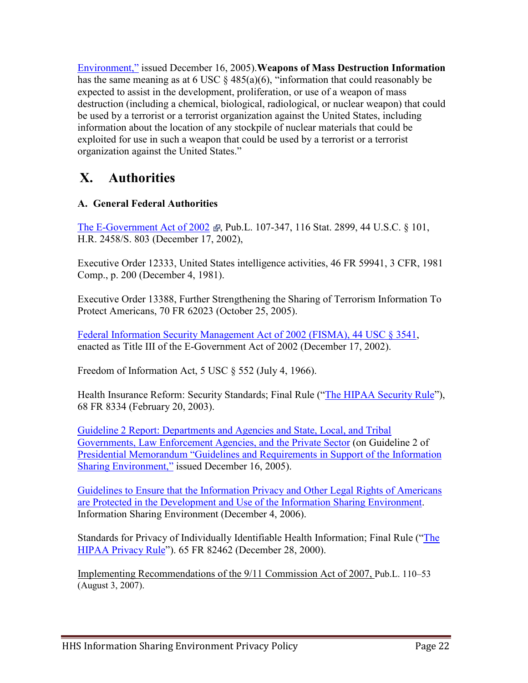Environment," issued December 16, 2005).**Weapons of Mass Destruction Information** has the same meaning as at 6 USC § 485(a)(6), "information that could reasonably be expected to assist in the development, proliferation, or use of a weapon of mass destruction (including a chemical, biological, radiological, or nuclear weapon) that could be used by a terrorist or a terrorist organization against the United States, including information about the location of any stockpile of nuclear materials that could be exploited for use in such a weapon that could be used by a terrorist or a terrorist organization against the United States."

### <span id="page-22-0"></span>**X. Authorities**

#### **A. General Federal Authorities**

[The E-Government Act of 2002](http://www.reg-group.com/library/E-GovLaw.pdf)  $\epsilon$ , Pub.L. 107-347, 116 Stat. 2899, 44 U.S.C. § 101, H.R. 2458/S. 803 (December 17, 2002),

[Executive Order 12333, United States intelligence activities,](http://www.archives.gov/federal-register/codification/executive-order/12333.html) 46 FR 59941, 3 CFR, 1981 Comp., p. 200 (December 4, 1981).

[Executive Order 13388, Further Strengthening the Sharing of Terrorism Information To](http://www.archives.gov/federal-register/codification/executive-order/12333.html)  [Protect Americans,](http://www.archives.gov/federal-register/codification/executive-order/12333.html) 70 FR 62023 (October 25, 2005).

[Federal Information Security Management Act of 2002](http://csrc.nist.gov/drivers/documents/FISMA-final.pdf) (FISMA), 44 USC § 3541, enacted as Title III of the E-Government Act of 2002 (December 17, 2002).

Freedom of Information Act, 5 USC  $\frac{1}{5}$  552 (July 4, 1966).

Health Insurance Reform: Security Standards; Final Rule (["The HIPAA Security Rule"](http://www.hhs.gov/ocr/privacy/hipaa/administrative/securityrule/index.html)), 68 FR 8334 (February 20, 2003).

[Guideline 2 Report: Departments and Agencies and State, Local, and Tribal](http://ise.gov/guideline-2-report-departments-and-agencies-and-state-local-and-tribal-governments-law-enforcement-a)  [Governments, Law Enforcement Agencies, and the Private Sector](http://ise.gov/guideline-2-report-departments-and-agencies-and-state-local-and-tribal-governments-law-enforcement-a) (on Guideline 2 of [Presidential Memorandum "Guidelines and Requirements in Support of the Information](http://www.ise.gov/sites/default/files/Memo_on_Guidelines_and_Rqmts_in_Support_of_the_ISE.pdf)  [Sharing Environment,"](http://www.ise.gov/sites/default/files/Memo_on_Guidelines_and_Rqmts_in_Support_of_the_ISE.pdf) issued December 16, 2005).

[Guidelines to Ensure that the Information Privacy and Other Legal Rights of Americans](http://ise.gov/sites/default/files/PrivacyGuidelines20061204.pdf)  [are Protected in the Development and Use of the Information Sharing Environment.](http://ise.gov/sites/default/files/PrivacyGuidelines20061204.pdf) Information Sharing Environment (December 4, 2006).

Standards for Privacy of Individually Identifiable Health Information; Final Rule (["The](http://www.hhs.gov/ocr/privacy/hipaa/administrative/privacyrule/index.html)  [HIPAA Privacy Rule"](http://www.hhs.gov/ocr/privacy/hipaa/administrative/privacyrule/index.html)). 65 FR 82462 (December 28, 2000).

Implementing Recommendations of the 9/11 Commission Act of 2007, Pub.L. 110–53 (August 3, 2007).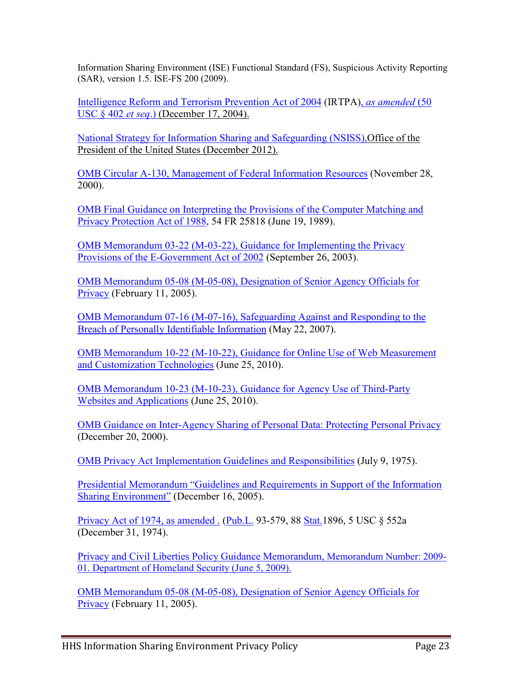Information Sharing Environment (ISE) Functional Standard (FS), Suspicious Activity Reporting (SAR), version 1.5. ISE-FS 200 (2009).

[Intelligence Reform and Terrorism Prevention Act of 2004](http://www.nctc.gov/docs/pl108_458.pdf) (IRTPA), *[as amended](http://www.nctc.gov/docs/ir-of-the-9-11-comm-act-of-2007.pdf)* (50 [USC § 402](http://www.nctc.gov/docs/ir-of-the-9-11-comm-act-of-2007.pdf) *et seq*.) (December 17, 2004).

[National Strategy for Information Sharing and Safeguarding \(NSISS\),O](http://www.whitehouse.gov/sites/default/files/docs/2012sharingstrategy_1.pdf)ffice of the President of the United States (December 2012).

[OMB Circular A-130, Management of Federal Information Resources](http://www.whitehouse.gov/omb/circulars/a130/a130trans4.html) (November 28, 2000).

[OMB Final Guidance on Interpreting the Provisions of the Computer Matching and](http://www.whitehouse.gov/omb/inforeg/final_guidance_pl100-503.pdf)  [Privacy Protection Act of 1988,](http://www.whitehouse.gov/omb/inforeg/final_guidance_pl100-503.pdf) 54 FR 25818 (June 19, 1989).

[OMB Memorandum 03-22 \(M-03-22\), Guidance for Implementing the Privacy](http://www.whitehouse.gov/omb/memoranda/m03-22.html)  [Provisions of the E-Government Act of 2002](http://www.whitehouse.gov/omb/memoranda/m03-22.html) (September 26, 2003).

[OMB Memorandum 05-08 \(M-05-08\), Designation of Senior Agency Officials for](http://www.whitehouse.gov/sites/default/files/omb/assets/omb/memoranda/fy2005/m05-08.pdf)  [Privacy](http://www.whitehouse.gov/sites/default/files/omb/assets/omb/memoranda/fy2005/m05-08.pdf) (February 11, 2005).

[OMB Memorandum 07-16 \(M-07-16\), Safeguarding Against and Responding to the](http://www.whitehouse.gov/sites/default/files/omb/memoranda/fy2007/m07-16.pdf)  [Breach of Personally Identifiable Information](http://www.whitehouse.gov/sites/default/files/omb/memoranda/fy2007/m07-16.pdf) (May 22, 2007).

[OMB Memorandum 10-22 \(M-10-22\), Guidance for Online Use of Web Measurement](http://www.whitehouse.gov/sites/default/files/omb/assets/memoranda_2010/m10-22.pdf)  [and Customization Technologies](http://www.whitehouse.gov/sites/default/files/omb/assets/memoranda_2010/m10-22.pdf) (June 25, 2010).

[OMB Memorandum 10-23 \(M-10-23\), Guidance for Agency Use of Third-Party](http://www.whitehouse.gov/sites/default/files/omb/assets/memoranda_2010/m10-23.pdf)  [Websites and Applications](http://www.whitehouse.gov/sites/default/files/omb/assets/memoranda_2010/m10-23.pdf) (June 25, 2010).

[OMB Guidance on Inter-Agency Sharing of Personal Data: Protecting Personal Privacy](http://www.whitehouse.gov/omb/memoranda/m01-05.html) (December 20, 2000).

[OMB Privacy Act Implementation Guidelines and Responsibilities](http://www.whitehouse.gov/omb/inforeg/implementation_guidelines.pdf) (July 9, 1975).

[Presidential Memorandum "Guidelines and Requirements in Support of the Information](http://www.ise.gov/sites/default/files/Memo_on_Guidelines_and_Rqmts_in_Support_of_the_ISE.pdf)  [Sharing Environment"](http://www.ise.gov/sites/default/files/Memo_on_Guidelines_and_Rqmts_in_Support_of_the_ISE.pdf) (December 16, 2005).

[Privacy Act of 1974, as amended .](http://www.usdoj.gov/opcl/privstat.htm) [\(Pub.L.](http://en.wikipedia.org/wiki/Public_law_(United_States)) 93-579, 88 [Stat.1](http://en.wikipedia.org/wiki/United_States_Statutes_at_Large)896, 5 USC § 552a (December 31, 1974).

[Privacy and Civil Liberties Policy Guidance Memorandum, Memorandum Number: 2009-](http://www.dhs.gov/xlibrary/assets/privacy/privacy_crcl_guidance_ise_2009-01.pdf) [01. Department of Homeland Security \(June 5, 2009\).](http://www.dhs.gov/xlibrary/assets/privacy/privacy_crcl_guidance_ise_2009-01.pdf)

[OMB Memorandum 05-08 \(M-05-08\), Designation of Senior Agency Officials for](http://www.whitehouse.gov/omb/memoranda/fy2005/m05-08.pdf)  [Privacy](http://www.whitehouse.gov/omb/memoranda/fy2005/m05-08.pdf) (February 11, 2005).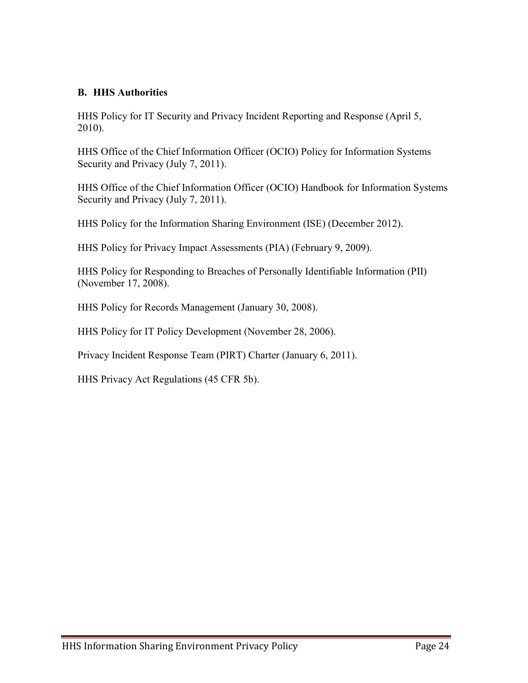#### **B. HHS Authorities**

HHS Policy for IT Security and Privacy Incident Reporting and Response (April 5, 2010).

HHS Office of the Chief Information Officer (OCIO) Policy for Information Systems Security and Privacy (July 7, 2011).

HHS Office of the Chief Information Officer (OCIO) Handbook for Information Systems Security and Privacy (July 7, 2011).

HHS Policy for the Information Sharing Environment (ISE) (December 2012).

HHS Policy for Privacy Impact Assessments (PIA) (February 9, 2009).

HHS Policy for Responding to Breaches of Personally Identifiable Information (PII) (November 17, 2008).

HHS Policy for Records Management (January 30, 2008).

HHS Policy for IT Policy Development (November 28, 2006).

Privacy Incident Response Team (PIRT) Charter (January 6, 2011).

HHS Privacy Act Regulations (45 CFR 5b).